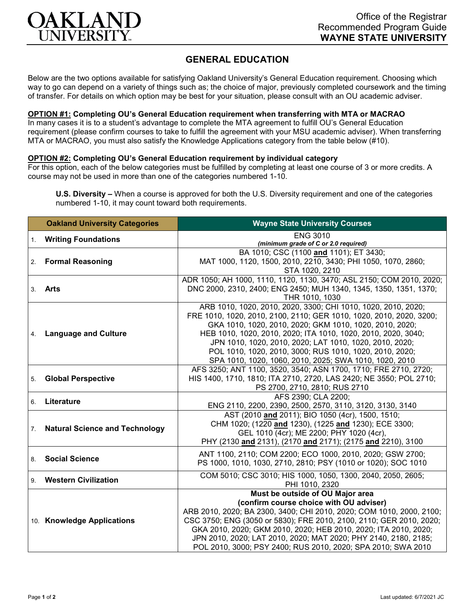

# **GENERAL EDUCATION**

Below are the two options available for satisfying Oakland University's General Education requirement. Choosing which way to go can depend on a variety of things such as; the choice of major, previously completed coursework and the timing of transfer. For details on which option may be best for your situation, please consult with an OU academic adviser.

#### **OPTION #1: Completing OU's General Education requirement when transferring with MTA or MACRAO**

In many cases it is to a student's advantage to complete the MTA agreement to fulfill OU's General Education requirement (please confirm courses to take to fulfill the agreement with your MSU academic adviser). When transferring MTA or MACRAO, you must also satisfy the Knowledge Applications category from the table below (#10).

### **OPTION #2: Completing OU's General Education requirement by individual category**

For this option, each of the below categories must be fulfilled by completing at least one course of 3 or more credits. A course may not be used in more than one of the categories numbered 1-10.

**U.S. Diversity –** When a course is approved for both the U.S. Diversity requirement and one of the categories numbered 1-10, it may count toward both requirements.

|                | <b>Oakland University Categories</b> | <b>Wayne State University Courses</b>                                                  |
|----------------|--------------------------------------|----------------------------------------------------------------------------------------|
| 1.             | <b>Writing Foundations</b>           | <b>ENG 3010</b>                                                                        |
|                |                                      | (minimum grade of C or 2.0 required)                                                   |
| 2.             | <b>Formal Reasoning</b>              | BA 1010; CSC (1100 and 1101); ET 3430;                                                 |
|                |                                      | MAT 1000, 1120, 1500, 2010, 2210, 3430; PHI 1050, 1070, 2860;                          |
|                |                                      | STA 1020, 2210<br>ADR 1050; AH 1000, 1110, 1120, 1130, 3470; ASL 2150; COM 2010, 2020; |
| 3 <sub>1</sub> | Arts                                 | DNC 2000, 2310, 2400; ENG 2450; MUH 1340, 1345, 1350, 1351, 1370;                      |
|                |                                      | THR 1010, 1030                                                                         |
|                |                                      | ARB 1010, 1020, 2010, 2020, 3300; CHI 1010, 1020, 2010, 2020;                          |
| 4.             | <b>Language and Culture</b>          | FRE 1010, 1020, 2010, 2100, 2110; GER 1010, 1020, 2010, 2020, 3200;                    |
|                |                                      | GKA 1010, 1020, 2010, 2020; GKM 1010, 1020, 2010, 2020;                                |
|                |                                      | HEB 1010, 1020, 2010, 2020; ITA 1010, 1020, 2010, 2020, 3040;                          |
|                |                                      | JPN 1010, 1020, 2010, 2020; LAT 1010, 1020, 2010, 2020;                                |
|                |                                      | POL 1010, 1020, 2010, 3000; RUS 1010, 1020, 2010, 2020;                                |
|                |                                      | SPA 1010, 1020, 1060, 2010, 2025; SWA 1010, 1020, 2010                                 |
| 5.             | <b>Global Perspective</b>            | AFS 3250; ANT 1100, 3520, 3540; ASN 1700, 1710; FRE 2710, 2720;                        |
|                |                                      | HIS 1400, 1710, 1810; ITA 2710, 2720, LAS 2420; NE 3550; POL 2710;                     |
|                |                                      | PS 2700, 2710, 2810; RUS 2710                                                          |
| 6.             | Literature                           | AFS 2390; CLA 2200;                                                                    |
|                |                                      | ENG 2110, 2200, 2390, 2500, 2570, 3110, 3120, 3130, 3140                               |
|                | 7. Natural Science and Technology    | AST (2010 and 2011); BIO 1050 (4cr), 1500, 1510;                                       |
|                |                                      | CHM 1020; (1220 and 1230), (1225 and 1230); ECE 3300;                                  |
|                |                                      | GEL 1010 (4cr); ME 2200; PHY 1020 (4cr),                                               |
|                |                                      | PHY (2130 and 2131), (2170 and 2171); (2175 and 2210), 3100                            |
| 8.             | <b>Social Science</b>                | ANT 1100, 2110; COM 2200; ECO 1000, 2010, 2020; GSW 2700;                              |
|                |                                      | PS 1000, 1010, 1030, 2710, 2810; PSY (1010 or 1020); SOC 1010                          |
|                | <b>Western Civilization</b>          | COM 5010; CSC 3010; HIS 1000, 1050, 1300, 2040, 2050, 2605;                            |
| 9              |                                      | PHI 1010, 2320                                                                         |
|                | 10. Knowledge Applications           | Must be outside of OU Major area                                                       |
|                |                                      | (confirm course choice with OU adviser)                                                |
|                |                                      | ARB 2010, 2020; BA 2300, 3400; CHI 2010, 2020; COM 1010, 2000, 2100;                   |
|                |                                      | CSC 3750; ENG (3050 or 5830); FRE 2010, 2100, 2110; GER 2010, 2020;                    |
|                |                                      | GKA 2010, 2020; GKM 2010, 2020; HEB 2010, 2020; ITA 2010, 2020;                        |
|                |                                      | JPN 2010, 2020; LAT 2010, 2020; MAT 2020; PHY 2140, 2180, 2185;                        |
|                |                                      | POL 2010, 3000; PSY 2400; RUS 2010, 2020; SPA 2010; SWA 2010                           |